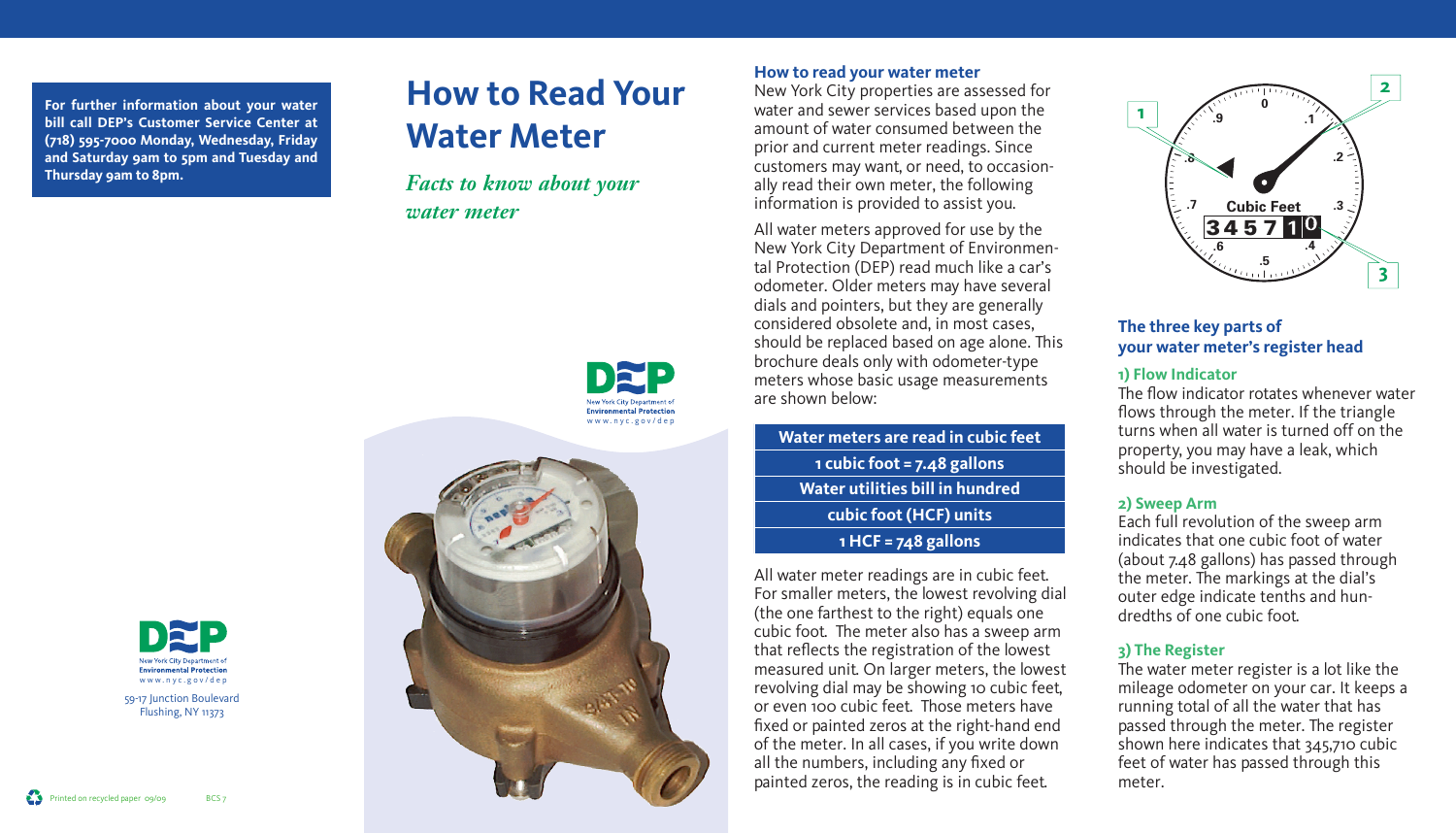**For further information about your water bill call DEP's Customer Service Center at (718) 595-7000 Monday, Wednesday, Friday and Saturday 9am to 5pm and Tuesday and Thursday 9am to 8pm.**

# **How to Read Your Water Meter**

*Facts to know about your water meter* 







New York City properties are assessed for water and sewer services based upon the amount of water consumed between the prior and current meter readings. Since customers may want, or need, to occasionally read their own meter, the following information is provided to assist you.

All water meters approved for use by the New York City Department of Environmental Protection (DEP) read much like a car's odometer. Older meters may have several dials and pointers, but they are generally considered obsolete and, in most cases, should be replaced based on age alone. This brochure deals only with odometer-type meters whose basic usage measurements are shown below:

**Water meters are read in cubic feet 1 cubic foot = 7.48 gallons Water utilities bill in hundred cubic foot (HCF) units 1 HCF = 748 gallons**

All water meter readings are in cubic feet. For smaller meters, the lowest revolving dial (the one farthest to the right) equals one cubic foot. The meter also has a sweep arm that reflects the registration of the lowest measured unit. On larger meters, the lowest revolving dial may be showing 10 cubic feet, or even 100 cubic feet. Those meters have fixed or painted zeros at the right-hand end of the meter. In all cases, if you write down all the numbers, including any fixed or painted zeros, the reading is in cubic feet.



## **The three key parts of your water meter's register head**

### **1) Flow Indicator**

The flow indicator rotates whenever water flows through the meter. If the triangle turns when all water is turned off on the property, you may have a leak, which should be investigated.

## **2) Sweep Arm**

Each full revolution of the sweep arm indicates that one cubic foot of water (about 7.48 gallons) has passed through the meter. The markings at the dial's outer edge indicate tenths and hundredths of one cubic foot.

## **3) The Register**

The water meter register is a lot like the mileage odometer on your car. It keeps a running total of all the water that has passed through the meter. The register shown here indicates that 345,710 cubic feet of water has passed through this meter.



59-17 Junction Boulevard Flushing, NY 11373